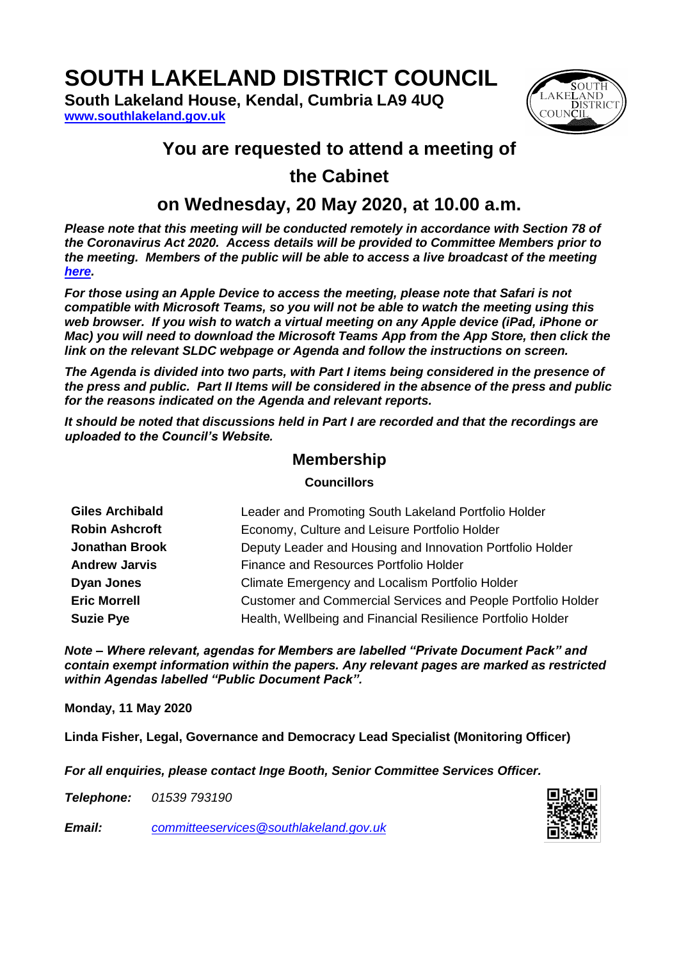# **SOUTH LAKELAND DISTRICT COUNCIL**

**South Lakeland House, Kendal, Cumbria LA9 4UQ [www.southlakeland.gov.uk](http://www.southlakeland.gov.uk/)**



### **You are requested to attend a meeting of**

# **the Cabinet**

# **on Wednesday, 20 May 2020, at 10.00 a.m.**

*Please note that this meeting will be conducted remotely in accordance with Section 78 of the Coronavirus Act 2020. Access details will be provided to Committee Members prior to the meeting. Members of the public will be able to access a live broadcast of the meeting [here.](https://teams.microsoft.com/l/meetup-join/19%3ameeting_ZjM5OTIwMTYtNmNkNi00NmExLTkxNDYtZWNmYWEwNmJjMDBh%40thread.v2/0?context=%7b%22Tid%22%3a%228f18e400-f52a-4870-b1e1-4fa83ffcda3d%22%2c%22Oid%22%3a%226fc47941-2366-4492-84c3-952ffdc897a8%22%2c%22IsBroadcastMeeting%22%3atrue%7d)*

*For those using an Apple Device to access the meeting, please note that Safari is not compatible with Microsoft Teams, so you will not be able to watch the meeting using this web browser. If you wish to watch a virtual meeting on any Apple device (iPad, iPhone or Mac)* you will need to download the Microsoft Teams App from the App Store, then click the *link on the relevant SLDC webpage or Agenda and follow the instructions on screen.*

*The Agenda is divided into two parts, with Part I items being considered in the presence of the press and public. Part II Items will be considered in the absence of the press and public for the reasons indicated on the Agenda and relevant reports.*

*It should be noted that discussions held in Part I are recorded and that the recordings are uploaded to the Council's Website.*

#### **Membership**

#### **Councillors**

| <b>Giles Archibald</b> | Leader and Promoting South Lakeland Portfolio Holder                |
|------------------------|---------------------------------------------------------------------|
| <b>Robin Ashcroft</b>  | Economy, Culture and Leisure Portfolio Holder                       |
| <b>Jonathan Brook</b>  | Deputy Leader and Housing and Innovation Portfolio Holder           |
| <b>Andrew Jarvis</b>   | Finance and Resources Portfolio Holder                              |
| <b>Dyan Jones</b>      | Climate Emergency and Localism Portfolio Holder                     |
| <b>Eric Morrell</b>    | <b>Customer and Commercial Services and People Portfolio Holder</b> |
| <b>Suzie Pye</b>       | Health, Wellbeing and Financial Resilience Portfolio Holder         |

*Note – Where relevant, agendas for Members are labelled "Private Document Pack" and contain exempt information within the papers. Any relevant pages are marked as restricted within Agendas labelled "Public Document Pack".*

**Monday, 11 May 2020**

**Linda Fisher, Legal, Governance and Democracy Lead Specialist (Monitoring Officer)**

*For all enquiries, please contact Inge Booth, Senior Committee Services Officer.*

*Telephone: 01539 793190*

*Email: committeeservices@southlakeland.gov.uk*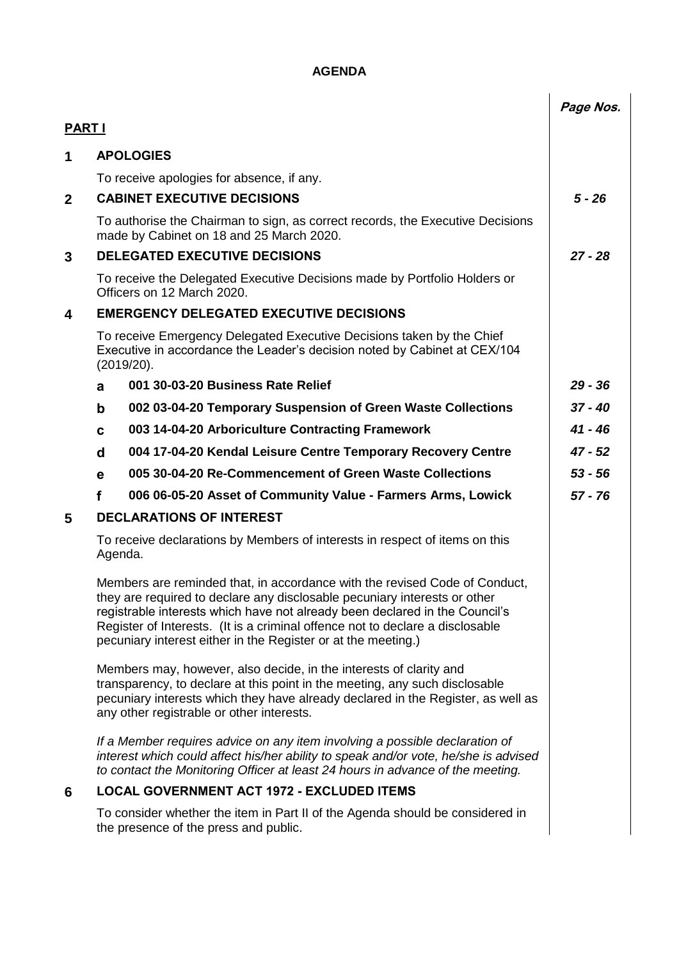#### **AGENDA**

|               |                                                                                                                                                                                                                                                                                                                                                                                          |                                                                                                                                                                                                                                                      | Page Nos. |  |  |
|---------------|------------------------------------------------------------------------------------------------------------------------------------------------------------------------------------------------------------------------------------------------------------------------------------------------------------------------------------------------------------------------------------------|------------------------------------------------------------------------------------------------------------------------------------------------------------------------------------------------------------------------------------------------------|-----------|--|--|
| <b>PART I</b> |                                                                                                                                                                                                                                                                                                                                                                                          |                                                                                                                                                                                                                                                      |           |  |  |
| $\mathbf 1$   |                                                                                                                                                                                                                                                                                                                                                                                          | <b>APOLOGIES</b>                                                                                                                                                                                                                                     |           |  |  |
|               |                                                                                                                                                                                                                                                                                                                                                                                          | To receive apologies for absence, if any.                                                                                                                                                                                                            |           |  |  |
| $\mathbf{2}$  |                                                                                                                                                                                                                                                                                                                                                                                          | <b>CABINET EXECUTIVE DECISIONS</b>                                                                                                                                                                                                                   |           |  |  |
|               |                                                                                                                                                                                                                                                                                                                                                                                          | To authorise the Chairman to sign, as correct records, the Executive Decisions<br>made by Cabinet on 18 and 25 March 2020.                                                                                                                           |           |  |  |
| 3             |                                                                                                                                                                                                                                                                                                                                                                                          | <b>DELEGATED EXECUTIVE DECISIONS</b>                                                                                                                                                                                                                 |           |  |  |
|               |                                                                                                                                                                                                                                                                                                                                                                                          | To receive the Delegated Executive Decisions made by Portfolio Holders or<br>Officers on 12 March 2020.                                                                                                                                              |           |  |  |
| 4             |                                                                                                                                                                                                                                                                                                                                                                                          | <b>EMERGENCY DELEGATED EXECUTIVE DECISIONS</b>                                                                                                                                                                                                       |           |  |  |
|               | To receive Emergency Delegated Executive Decisions taken by the Chief<br>Executive in accordance the Leader's decision noted by Cabinet at CEX/104<br>(2019/20).                                                                                                                                                                                                                         |                                                                                                                                                                                                                                                      |           |  |  |
|               | a                                                                                                                                                                                                                                                                                                                                                                                        | 001 30-03-20 Business Rate Relief                                                                                                                                                                                                                    | $29 - 36$ |  |  |
|               | $\mathbf b$                                                                                                                                                                                                                                                                                                                                                                              | 002 03-04-20 Temporary Suspension of Green Waste Collections                                                                                                                                                                                         | $37 - 40$ |  |  |
|               | C                                                                                                                                                                                                                                                                                                                                                                                        | 003 14-04-20 Arboriculture Contracting Framework                                                                                                                                                                                                     | 41 - 46   |  |  |
|               | d                                                                                                                                                                                                                                                                                                                                                                                        | 004 17-04-20 Kendal Leisure Centre Temporary Recovery Centre                                                                                                                                                                                         | $47 - 52$ |  |  |
|               | е                                                                                                                                                                                                                                                                                                                                                                                        | 005 30-04-20 Re-Commencement of Green Waste Collections                                                                                                                                                                                              | $53 - 56$ |  |  |
|               | f                                                                                                                                                                                                                                                                                                                                                                                        | 006 06-05-20 Asset of Community Value - Farmers Arms, Lowick                                                                                                                                                                                         | $57 - 76$ |  |  |
| 5             |                                                                                                                                                                                                                                                                                                                                                                                          | <b>DECLARATIONS OF INTEREST</b>                                                                                                                                                                                                                      |           |  |  |
|               |                                                                                                                                                                                                                                                                                                                                                                                          | To receive declarations by Members of interests in respect of items on this<br>Agenda.                                                                                                                                                               |           |  |  |
|               | Members are reminded that, in accordance with the revised Code of Conduct,<br>they are required to declare any disclosable pecuniary interests or other<br>registrable interests which have not already been declared in the Council's<br>Register of Interests. (It is a criminal offence not to declare a disclosable<br>pecuniary interest either in the Register or at the meeting.) |                                                                                                                                                                                                                                                      |           |  |  |
|               | Members may, however, also decide, in the interests of clarity and<br>transparency, to declare at this point in the meeting, any such disclosable<br>pecuniary interests which they have already declared in the Register, as well as<br>any other registrable or other interests.                                                                                                       |                                                                                                                                                                                                                                                      |           |  |  |
|               |                                                                                                                                                                                                                                                                                                                                                                                          | If a Member requires advice on any item involving a possible declaration of<br>interest which could affect his/her ability to speak and/or vote, he/she is advised<br>to contact the Monitoring Officer at least 24 hours in advance of the meeting. |           |  |  |
| 6             |                                                                                                                                                                                                                                                                                                                                                                                          | <b>LOCAL GOVERNMENT ACT 1972 - EXCLUDED ITEMS</b>                                                                                                                                                                                                    |           |  |  |
|               |                                                                                                                                                                                                                                                                                                                                                                                          | To consider whether the item in Part II of the Agenda should be considered in<br>the presence of the press and public.                                                                                                                               |           |  |  |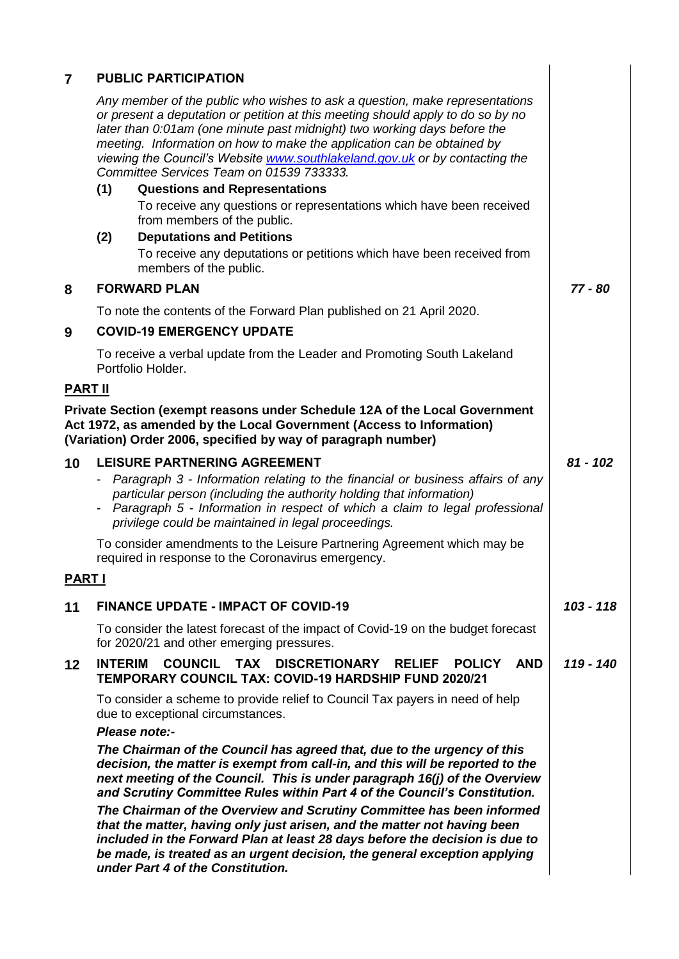| $\overline{7}$                                                                                                                                                                                                      | <b>PUBLIC PARTICIPATION</b>                                                                                                                                                                                                                                                                                                                                                                                                                                                             |                                                                                                                                                                                                                                                                                                                                                    |             |  |
|---------------------------------------------------------------------------------------------------------------------------------------------------------------------------------------------------------------------|-----------------------------------------------------------------------------------------------------------------------------------------------------------------------------------------------------------------------------------------------------------------------------------------------------------------------------------------------------------------------------------------------------------------------------------------------------------------------------------------|----------------------------------------------------------------------------------------------------------------------------------------------------------------------------------------------------------------------------------------------------------------------------------------------------------------------------------------------------|-------------|--|
|                                                                                                                                                                                                                     | Any member of the public who wishes to ask a question, make representations<br>or present a deputation or petition at this meeting should apply to do so by no<br>later than 0:01am (one minute past midnight) two working days before the<br>meeting. Information on how to make the application can be obtained by<br>viewing the Council's Website www.southlakeland.gov.uk or by contacting the<br>Committee Services Team on 01539 733333.<br><b>Questions and Representations</b> |                                                                                                                                                                                                                                                                                                                                                    |             |  |
|                                                                                                                                                                                                                     | (1)                                                                                                                                                                                                                                                                                                                                                                                                                                                                                     | To receive any questions or representations which have been received<br>from members of the public.                                                                                                                                                                                                                                                |             |  |
|                                                                                                                                                                                                                     | (2)                                                                                                                                                                                                                                                                                                                                                                                                                                                                                     | <b>Deputations and Petitions</b><br>To receive any deputations or petitions which have been received from<br>members of the public.                                                                                                                                                                                                                |             |  |
| 8                                                                                                                                                                                                                   | <b>FORWARD PLAN</b>                                                                                                                                                                                                                                                                                                                                                                                                                                                                     |                                                                                                                                                                                                                                                                                                                                                    | 77 - 80     |  |
|                                                                                                                                                                                                                     | To note the contents of the Forward Plan published on 21 April 2020.                                                                                                                                                                                                                                                                                                                                                                                                                    |                                                                                                                                                                                                                                                                                                                                                    |             |  |
| 9                                                                                                                                                                                                                   |                                                                                                                                                                                                                                                                                                                                                                                                                                                                                         | <b>COVID-19 EMERGENCY UPDATE</b>                                                                                                                                                                                                                                                                                                                   |             |  |
|                                                                                                                                                                                                                     |                                                                                                                                                                                                                                                                                                                                                                                                                                                                                         | To receive a verbal update from the Leader and Promoting South Lakeland<br>Portfolio Holder.                                                                                                                                                                                                                                                       |             |  |
| <b>PART II</b>                                                                                                                                                                                                      |                                                                                                                                                                                                                                                                                                                                                                                                                                                                                         |                                                                                                                                                                                                                                                                                                                                                    |             |  |
| Private Section (exempt reasons under Schedule 12A of the Local Government<br>Act 1972, as amended by the Local Government (Access to Information)<br>(Variation) Order 2006, specified by way of paragraph number) |                                                                                                                                                                                                                                                                                                                                                                                                                                                                                         |                                                                                                                                                                                                                                                                                                                                                    |             |  |
| 10                                                                                                                                                                                                                  |                                                                                                                                                                                                                                                                                                                                                                                                                                                                                         | <b>LEISURE PARTNERING AGREEMENT</b><br>- Paragraph 3 - Information relating to the financial or business affairs of any<br>particular person (including the authority holding that information)<br>- Paragraph 5 - Information in respect of which a claim to legal professional<br>privilege could be maintained in legal proceedings.            | $81 - 102$  |  |
|                                                                                                                                                                                                                     |                                                                                                                                                                                                                                                                                                                                                                                                                                                                                         | To consider amendments to the Leisure Partnering Agreement which may be<br>required in response to the Coronavirus emergency.                                                                                                                                                                                                                      |             |  |
| <b>PART I</b>                                                                                                                                                                                                       |                                                                                                                                                                                                                                                                                                                                                                                                                                                                                         |                                                                                                                                                                                                                                                                                                                                                    |             |  |
| 11                                                                                                                                                                                                                  |                                                                                                                                                                                                                                                                                                                                                                                                                                                                                         | <b>FINANCE UPDATE - IMPACT OF COVID-19</b>                                                                                                                                                                                                                                                                                                         | $103 - 118$ |  |
|                                                                                                                                                                                                                     |                                                                                                                                                                                                                                                                                                                                                                                                                                                                                         | To consider the latest forecast of the impact of Covid-19 on the budget forecast<br>for 2020/21 and other emerging pressures.                                                                                                                                                                                                                      |             |  |
| 12                                                                                                                                                                                                                  | <b>INTERIM</b>                                                                                                                                                                                                                                                                                                                                                                                                                                                                          | <b>COUNCIL</b><br><b>TAX DISCRETIONARY</b><br><b>POLICY</b><br><b>AND</b><br><b>RELIEF</b><br><b>TEMPORARY COUNCIL TAX: COVID-19 HARDSHIP FUND 2020/21</b>                                                                                                                                                                                         | 119 - 140   |  |
|                                                                                                                                                                                                                     |                                                                                                                                                                                                                                                                                                                                                                                                                                                                                         | To consider a scheme to provide relief to Council Tax payers in need of help<br>due to exceptional circumstances.<br>Please note:-                                                                                                                                                                                                                 |             |  |
|                                                                                                                                                                                                                     |                                                                                                                                                                                                                                                                                                                                                                                                                                                                                         | The Chairman of the Council has agreed that, due to the urgency of this<br>decision, the matter is exempt from call-in, and this will be reported to the<br>next meeting of the Council. This is under paragraph 16(j) of the Overview<br>and Scrutiny Committee Rules within Part 4 of the Council's Constitution.                                |             |  |
|                                                                                                                                                                                                                     |                                                                                                                                                                                                                                                                                                                                                                                                                                                                                         | The Chairman of the Overview and Scrutiny Committee has been informed<br>that the matter, having only just arisen, and the matter not having been<br>included in the Forward Plan at least 28 days before the decision is due to<br>be made, is treated as an urgent decision, the general exception applying<br>under Part 4 of the Constitution. |             |  |